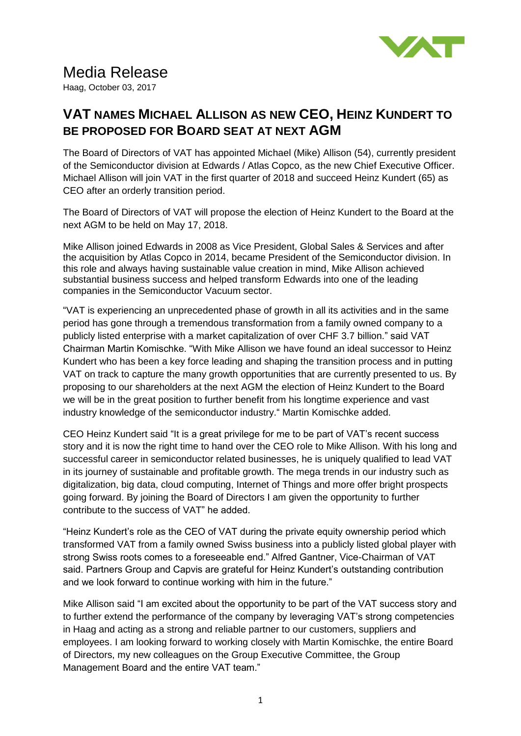

## Media Release

Haag, October 03, 2017

## **VAT NAMES MICHAEL ALLISON AS NEW CEO, HEINZ KUNDERT TO BE PROPOSED FOR BOARD SEAT AT NEXT AGM**

The Board of Directors of VAT has appointed Michael (Mike) Allison (54), currently president of the Semiconductor division at Edwards / Atlas Copco, as the new Chief Executive Officer. Michael Allison will join VAT in the first quarter of 2018 and succeed Heinz Kundert (65) as CEO after an orderly transition period.

The Board of Directors of VAT will propose the election of Heinz Kundert to the Board at the next AGM to be held on May 17, 2018.

Mike Allison joined Edwards in 2008 as Vice President, Global Sales & Services and after the acquisition by Atlas Copco in 2014, became President of the Semiconductor division. In this role and always having sustainable value creation in mind, Mike Allison achieved substantial business success and helped transform Edwards into one of the leading companies in the Semiconductor Vacuum sector.

"VAT is experiencing an unprecedented phase of growth in all its activities and in the same period has gone through a tremendous transformation from a family owned company to a publicly listed enterprise with a market capitalization of over CHF 3.7 billion." said VAT Chairman Martin Komischke. "With Mike Allison we have found an ideal successor to Heinz Kundert who has been a key force leading and shaping the transition process and in putting VAT on track to capture the many growth opportunities that are currently presented to us. By proposing to our shareholders at the next AGM the election of Heinz Kundert to the Board we will be in the great position to further benefit from his longtime experience and vast industry knowledge of the semiconductor industry." Martin Komischke added.

CEO Heinz Kundert said "It is a great privilege for me to be part of VAT's recent success story and it is now the right time to hand over the CEO role to Mike Allison. With his long and successful career in semiconductor related businesses, he is uniquely qualified to lead VAT in its journey of sustainable and profitable growth. The mega trends in our industry such as digitalization, big data, cloud computing, Internet of Things and more offer bright prospects going forward. By joining the Board of Directors I am given the opportunity to further contribute to the success of VAT" he added.

"Heinz Kundert's role as the CEO of VAT during the private equity ownership period which transformed VAT from a family owned Swiss business into a publicly listed global player with strong Swiss roots comes to a foreseeable end." Alfred Gantner, Vice-Chairman of VAT said. Partners Group and Capvis are grateful for Heinz Kundert's outstanding contribution and we look forward to continue working with him in the future."

Mike Allison said "I am excited about the opportunity to be part of the VAT success story and to further extend the performance of the company by leveraging VAT's strong competencies in Haag and acting as a strong and reliable partner to our customers, suppliers and employees. I am looking forward to working closely with Martin Komischke, the entire Board of Directors, my new colleagues on the Group Executive Committee, the Group Management Board and the entire VAT team."